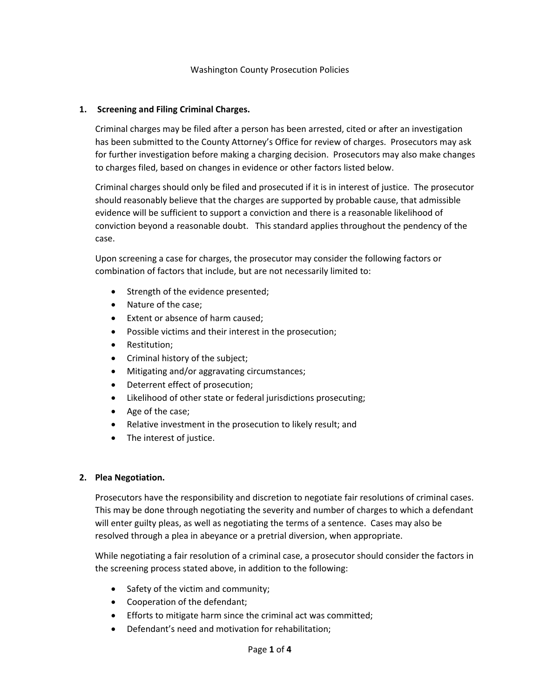#### **1. Screening and Filing Criminal Charges.**

Criminal charges may be filed after a person has been arrested, cited or after an investigation has been submitted to the County Attorney's Office for review of charges. Prosecutors may ask for further investigation before making a charging decision. Prosecutors may also make changes to charges filed, based on changes in evidence or other factors listed below.

Criminal charges should only be filed and prosecuted if it is in interest of justice. The prosecutor should reasonably believe that the charges are supported by probable cause, that admissible evidence will be sufficient to support a conviction and there is a reasonable likelihood of conviction beyond a reasonable doubt. This standard applies throughout the pendency of the case.

Upon screening a case for charges, the prosecutor may consider the following factors or combination of factors that include, but are not necessarily limited to:

- Strength of the evidence presented;
- Nature of the case;
- Extent or absence of harm caused;
- Possible victims and their interest in the prosecution;
- Restitution;
- Criminal history of the subject;
- Mitigating and/or aggravating circumstances;
- Deterrent effect of prosecution;
- Likelihood of other state or federal jurisdictions prosecuting;
- Age of the case;
- Relative investment in the prosecution to likely result; and
- The interest of justice.

#### **2. Plea Negotiation.**

Prosecutors have the responsibility and discretion to negotiate fair resolutions of criminal cases. This may be done through negotiating the severity and number of charges to which a defendant will enter guilty pleas, as well as negotiating the terms of a sentence. Cases may also be resolved through a plea in abeyance or a pretrial diversion, when appropriate.

While negotiating a fair resolution of a criminal case, a prosecutor should consider the factors in the screening process stated above, in addition to the following:

- Safety of the victim and community;
- Cooperation of the defendant;
- Efforts to mitigate harm since the criminal act was committed;
- Defendant's need and motivation for rehabilitation;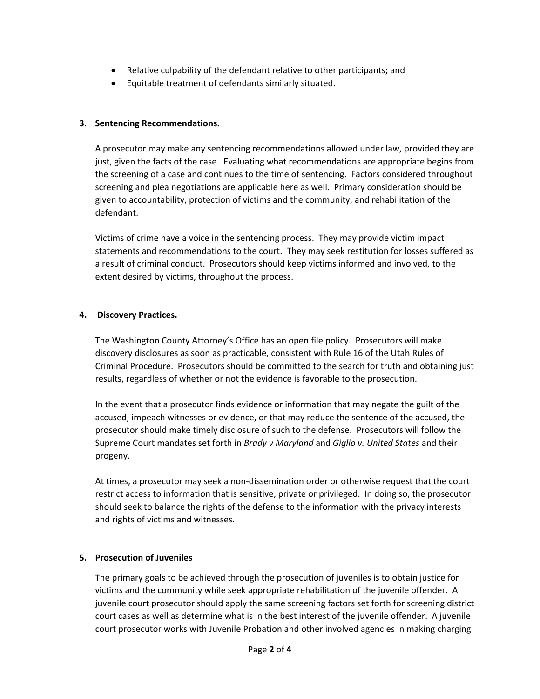- Relative culpability of the defendant relative to other participants; and
- Equitable treatment of defendants similarly situated.

# **3. Sentencing Recommendations.**

A prosecutor may make any sentencing recommendations allowed under law, provided they are just, given the facts of the case. Evaluating what recommendations are appropriate begins from the screening of a case and continues to the time of sentencing. Factors considered throughout screening and plea negotiations are applicable here as well. Primary consideration should be given to accountability, protection of victims and the community, and rehabilitation of the defendant.

Victims of crime have a voice in the sentencing process. They may provide victim impact statements and recommendations to the court. They may seek restitution for losses suffered as a result of criminal conduct. Prosecutors should keep victims informed and involved, to the extent desired by victims, throughout the process.

## **4. Discovery Practices.**

The Washington County Attorney's Office has an open file policy. Prosecutors will make discovery disclosures as soon as practicable, consistent with Rule 16 of the Utah Rules of Criminal Procedure. Prosecutors should be committed to the search for truth and obtaining just results, regardless of whether or not the evidence is favorable to the prosecution.

In the event that a prosecutor finds evidence or information that may negate the guilt of the accused, impeach witnesses or evidence, or that may reduce the sentence of the accused, the prosecutor should make timely disclosure of such to the defense. Prosecutors will follow the Supreme Court mandates set forth in *Brady v Maryland* and *Giglio v. United States* and their progeny.

At times, a prosecutor may seek a non-dissemination order or otherwise request that the court restrict access to information that is sensitive, private or privileged. In doing so, the prosecutor should seek to balance the rights of the defense to the information with the privacy interests and rights of victims and witnesses.

## **5. Prosecution of Juveniles**

The primary goals to be achieved through the prosecution of juveniles is to obtain justice for victims and the community while seek appropriate rehabilitation of the juvenile offender. A juvenile court prosecutor should apply the same screening factors set forth for screening district court cases as well as determine what is in the best interest of the juvenile offender. A juvenile court prosecutor works with Juvenile Probation and other involved agencies in making charging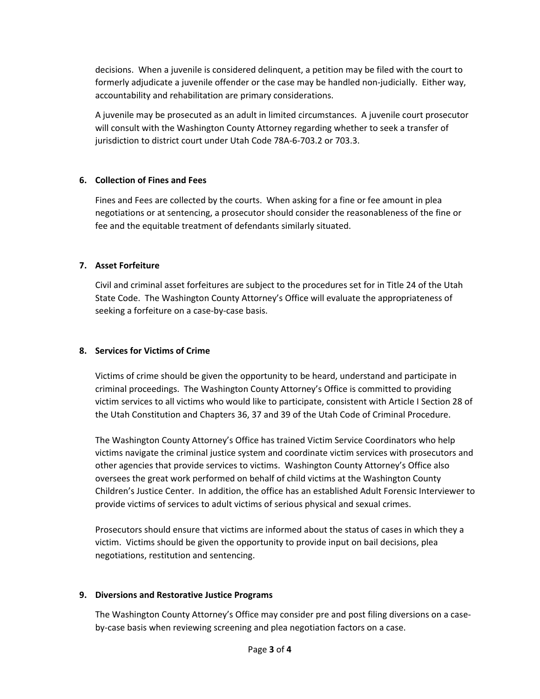decisions. When a juvenile is considered delinquent, a petition may be filed with the court to formerly adjudicate a juvenile offender or the case may be handled non-judicially. Either way, accountability and rehabilitation are primary considerations.

A juvenile may be prosecuted as an adult in limited circumstances. A juvenile court prosecutor will consult with the Washington County Attorney regarding whether to seek a transfer of jurisdiction to district court under Utah Code 78A-6-703.2 or 703.3.

## **6. Collection of Fines and Fees**

Fines and Fees are collected by the courts. When asking for a fine or fee amount in plea negotiations or at sentencing, a prosecutor should consider the reasonableness of the fine or fee and the equitable treatment of defendants similarly situated.

## **7. Asset Forfeiture**

Civil and criminal asset forfeitures are subject to the procedures set for in Title 24 of the Utah State Code. The Washington County Attorney's Office will evaluate the appropriateness of seeking a forfeiture on a case-by-case basis.

# **8. Services for Victims of Crime**

Victims of crime should be given the opportunity to be heard, understand and participate in criminal proceedings. The Washington County Attorney's Office is committed to providing victim services to all victims who would like to participate, consistent with Article I Section 28 of the Utah Constitution and Chapters 36, 37 and 39 of the Utah Code of Criminal Procedure.

The Washington County Attorney's Office has trained Victim Service Coordinators who help victims navigate the criminal justice system and coordinate victim services with prosecutors and other agencies that provide services to victims. Washington County Attorney's Office also oversees the great work performed on behalf of child victims at the Washington County Children's Justice Center. In addition, the office has an established Adult Forensic Interviewer to provide victims of services to adult victims of serious physical and sexual crimes.

Prosecutors should ensure that victims are informed about the status of cases in which they a victim. Victims should be given the opportunity to provide input on bail decisions, plea negotiations, restitution and sentencing.

## **9. Diversions and Restorative Justice Programs**

The Washington County Attorney's Office may consider pre and post filing diversions on a caseby-case basis when reviewing screening and plea negotiation factors on a case.